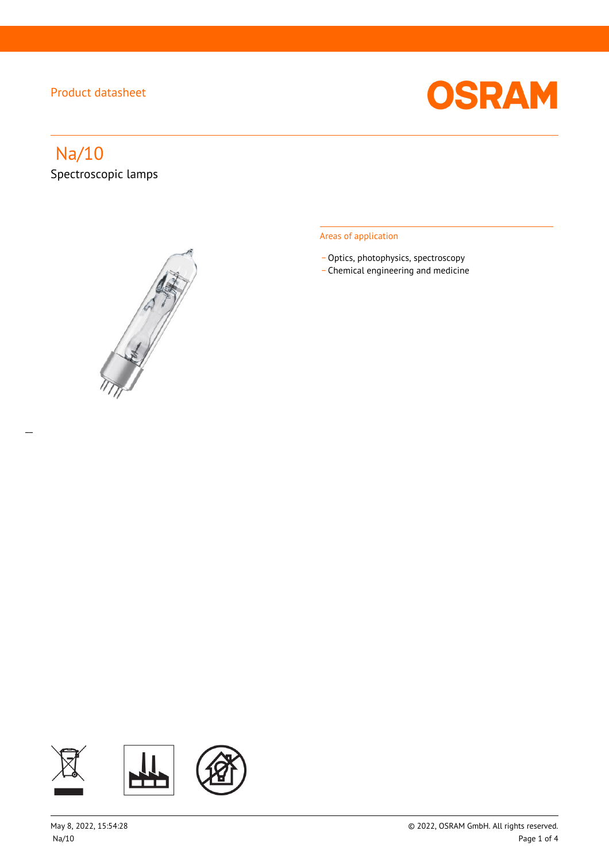

# Na/10

 $\overline{a}$ 

Spectroscopic lamps



## Areas of application

- Optics, photophysics, spectroscopy
- \_ Chemical engineering and medicine

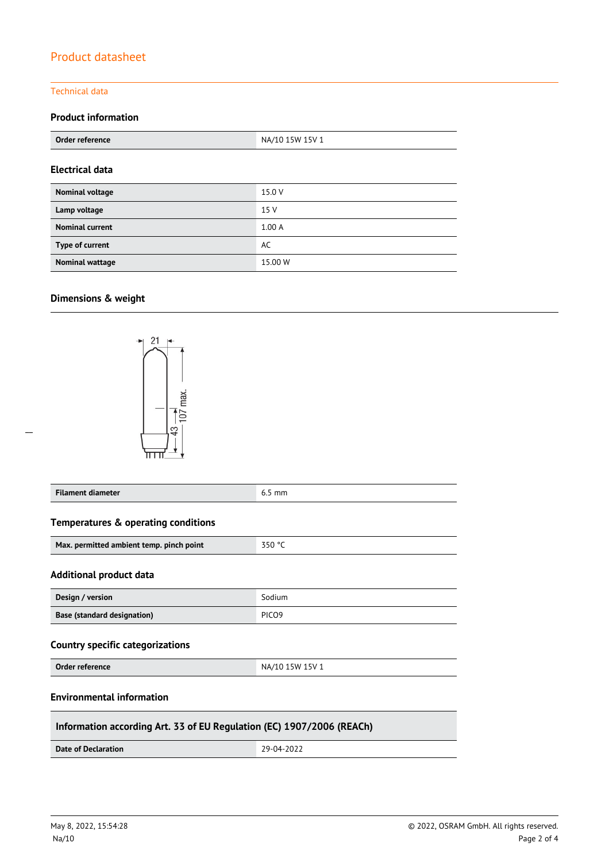#### Technical data

## **Product information**

| Order reference        | NA/10 15W 15V 1 |  |
|------------------------|-----------------|--|
| <b>Electrical data</b> |                 |  |
| Nominal voltage        | 15.0 V          |  |
| Lamp voltage           | 15 V            |  |
| <b>Nominal current</b> | 1.00A           |  |
| Type of current        | AC              |  |
| <b>Nominal wattage</b> | 15.00 W         |  |

## **Dimensions & weight**

 $\overline{a}$ 



| <b>Filament diameter</b>                                              | $6.5$ mm          |  |  |  |  |  |
|-----------------------------------------------------------------------|-------------------|--|--|--|--|--|
| Temperatures & operating conditions                                   |                   |  |  |  |  |  |
| Max. permitted ambient temp. pinch point                              | 350 °C            |  |  |  |  |  |
| <b>Additional product data</b>                                        |                   |  |  |  |  |  |
| Design / version                                                      | Sodium            |  |  |  |  |  |
| Base (standard designation)                                           | PIC <sub>09</sub> |  |  |  |  |  |
| <b>Country specific categorizations</b>                               |                   |  |  |  |  |  |
| Order reference                                                       | NA/10 15W 15V 1   |  |  |  |  |  |
| <b>Environmental information</b>                                      |                   |  |  |  |  |  |
| Information according Art. 33 of EU Regulation (EC) 1907/2006 (REACh) |                   |  |  |  |  |  |
| <b>Date of Declaration</b>                                            | 29-04-2022        |  |  |  |  |  |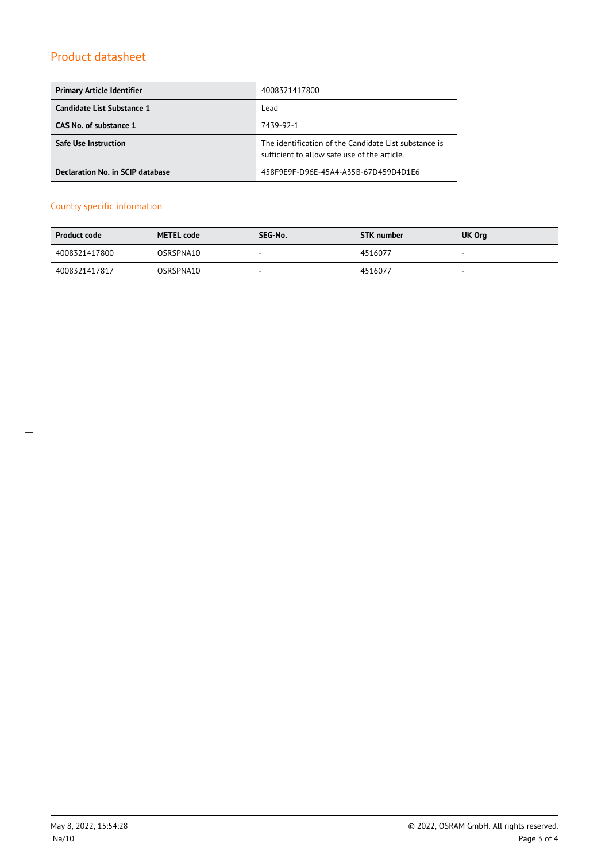| <b>Primary Article Identifier</b> | 4008321417800                                                                                         |  |
|-----------------------------------|-------------------------------------------------------------------------------------------------------|--|
| Candidate List Substance 1        | Lead                                                                                                  |  |
| CAS No. of substance 1            | 7439-92-1                                                                                             |  |
| <b>Safe Use Instruction</b>       | The identification of the Candidate List substance is<br>sufficient to allow safe use of the article. |  |
| Declaration No. in SCIP database  | 458F9E9F-D96E-45A4-A35B-67D459D4D1E6                                                                  |  |

## Country specific information

| <b>Product code</b> | <b>METEL code</b> | SEG-No. | <b>STK number</b> | UK Org                   |
|---------------------|-------------------|---------|-------------------|--------------------------|
| 4008321417800       | OSRSPNA10         | $\sim$  | 4516077           | $\overline{\phantom{a}}$ |
| 4008321417817       | OSRSPNA10         | $\sim$  | 4516077           | $\overline{\phantom{a}}$ |